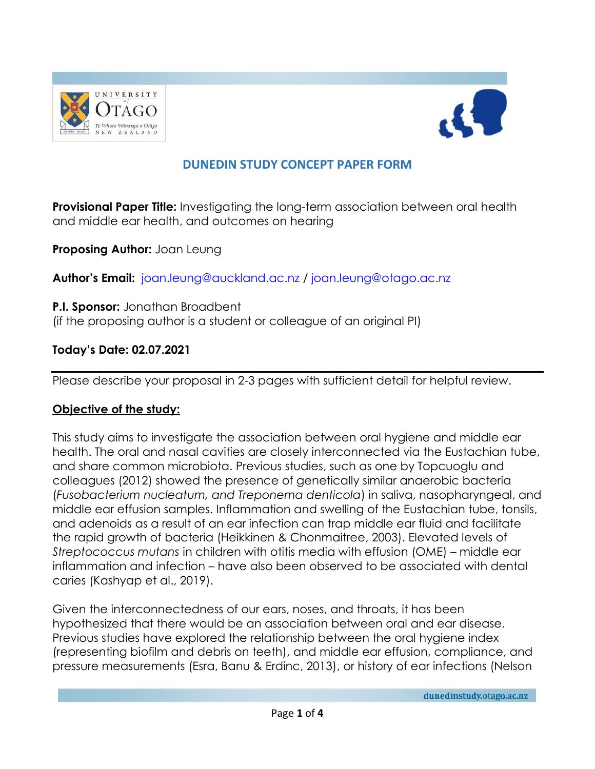



# **DUNEDIN STUDY CONCEPT PAPER FORM**

**Provisional Paper Title:** Investigating the long-term association between oral health and middle ear health, and outcomes on hearing

**Proposing Author:** Joan Leung

**Author's Email:** [joan.leung@auckland.ac.nz](mailto:joan.leung@auckland.ac.nz) / [joan.leung@otago.ac.nz](mailto:joan.leung@otago.ac.nz)

**P.I. Sponsor:** Jonathan Broadbent (if the proposing author is a student or colleague of an original PI)

#### **Today's Date: 02.07.2021**

Please describe your proposal in 2-3 pages with sufficient detail for helpful review.

#### **Objective of the study:**

This study aims to investigate the association between oral hygiene and middle ear health. The oral and nasal cavities are closely interconnected via the Eustachian tube, and share common microbiota. Previous studies, such as one by Topcuoglu and colleagues (2012) showed the presence of genetically similar anaerobic bacteria (*Fusobacterium nucleatum, and Treponema denticola*) in saliva, nasopharyngeal, and middle ear effusion samples. Inflammation and swelling of the Eustachian tube, tonsils, and adenoids as a result of an ear infection can trap middle ear fluid and facilitate the rapid growth of bacteria (Heikkinen & Chonmaitree, 2003). Elevated levels of *Streptococcus mutans* in children with otitis media with effusion (OME) – middle ear inflammation and infection – have also been observed to be associated with dental caries (Kashyap et al., 2019).

Given the interconnectedness of our ears, noses, and throats, it has been hypothesized that there would be an association between oral and ear disease. Previous studies have explored the relationship between the oral hygiene index (representing biofilm and debris on teeth), and middle ear effusion, compliance, and pressure measurements (Esra, Banu & Erdinc, 2013), or history of ear infections (Nelson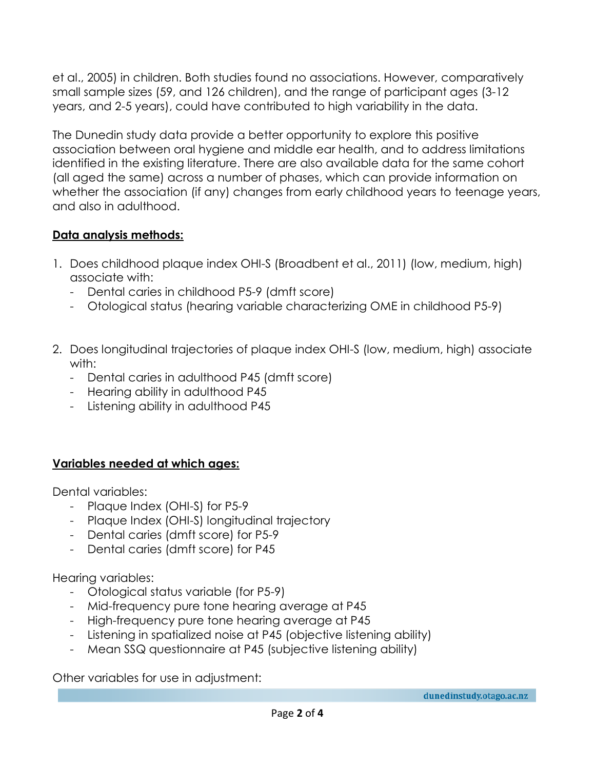et al., 2005) in children. Both studies found no associations. However, comparatively small sample sizes (59, and 126 children), and the range of participant ages (3-12 years, and 2-5 years), could have contributed to high variability in the data.

The Dunedin study data provide a better opportunity to explore this positive association between oral hygiene and middle ear health, and to address limitations identified in the existing literature. There are also available data for the same cohort (all aged the same) across a number of phases, which can provide information on whether the association (if any) changes from early childhood years to teenage years, and also in adulthood.

## **Data analysis methods:**

- 1. Does childhood plaque index OHI-S (Broadbent et al., 2011) (low, medium, high) associate with:
	- Dental caries in childhood P5-9 (dmft score)
	- Otological status (hearing variable characterizing OME in childhood P5-9)
- 2. Does longitudinal trajectories of plaque index OHI-S (low, medium, high) associate with:
	- Dental caries in adulthood P45 (dmft score)
	- Hearing ability in adulthood P45
	- Listening ability in adulthood P45

## **Variables needed at which ages:**

Dental variables:

- Plaque Index (OHI-S) for P5-9
- Plaque Index (OHI-S) longitudinal trajectory
- Dental caries (dmft score) for P5-9
- Dental caries (dmft score) for P45

Hearing variables:

- Otological status variable (for P5-9)
- Mid-frequency pure tone hearing average at P45
- High-frequency pure tone hearing average at P45
- Listening in spatialized noise at P45 (objective listening ability)
- Mean SSQ questionnaire at P45 (subjective listening ability)

Other variables for use in adjustment: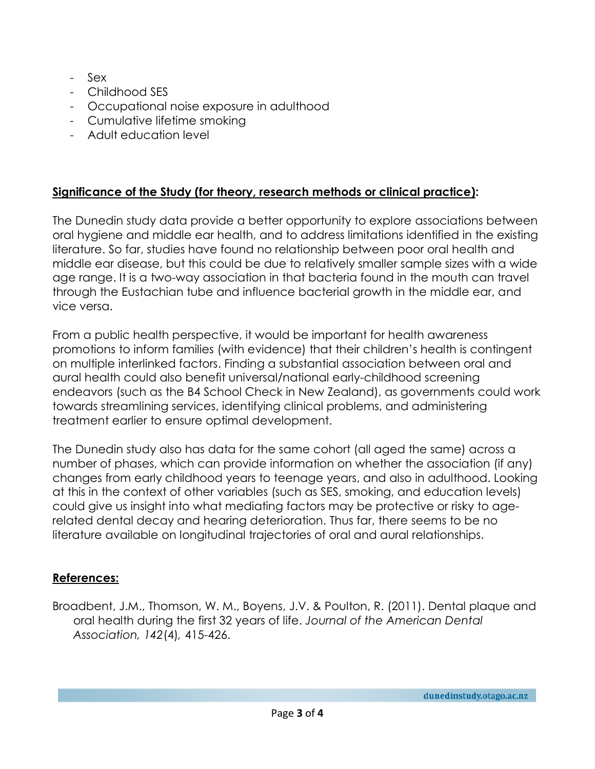- Sex
- Childhood SES
- Occupational noise exposure in adulthood
- Cumulative lifetime smoking
- Adult education level

# **Significance of the Study (for theory, research methods or clinical practice):**

The Dunedin study data provide a better opportunity to explore associations between oral hygiene and middle ear health, and to address limitations identified in the existing literature. So far, studies have found no relationship between poor oral health and middle ear disease, but this could be due to relatively smaller sample sizes with a wide age range. It is a two-way association in that bacteria found in the mouth can travel through the Eustachian tube and influence bacterial growth in the middle ear, and vice versa.

From a public health perspective, it would be important for health awareness promotions to inform families (with evidence) that their children's health is contingent on multiple interlinked factors. Finding a substantial association between oral and aural health could also benefit universal/national early-childhood screening endeavors (such as the B4 School Check in New Zealand), as governments could work towards streamlining services, identifying clinical problems, and administering treatment earlier to ensure optimal development.

The Dunedin study also has data for the same cohort (all aged the same) across a number of phases, which can provide information on whether the association (if any) changes from early childhood years to teenage years, and also in adulthood. Looking at this in the context of other variables (such as SES, smoking, and education levels) could give us insight into what mediating factors may be protective or risky to agerelated dental decay and hearing deterioration. Thus far, there seems to be no literature available on longitudinal trajectories of oral and aural relationships.

## **References:**

Broadbent, J.M., Thomson, W. M., Boyens, J.V. & Poulton, R. (2011). Dental plaque and oral health during the first 32 years of life. *Journal of the American Dental Association, 142*(4)*,* 415-426.